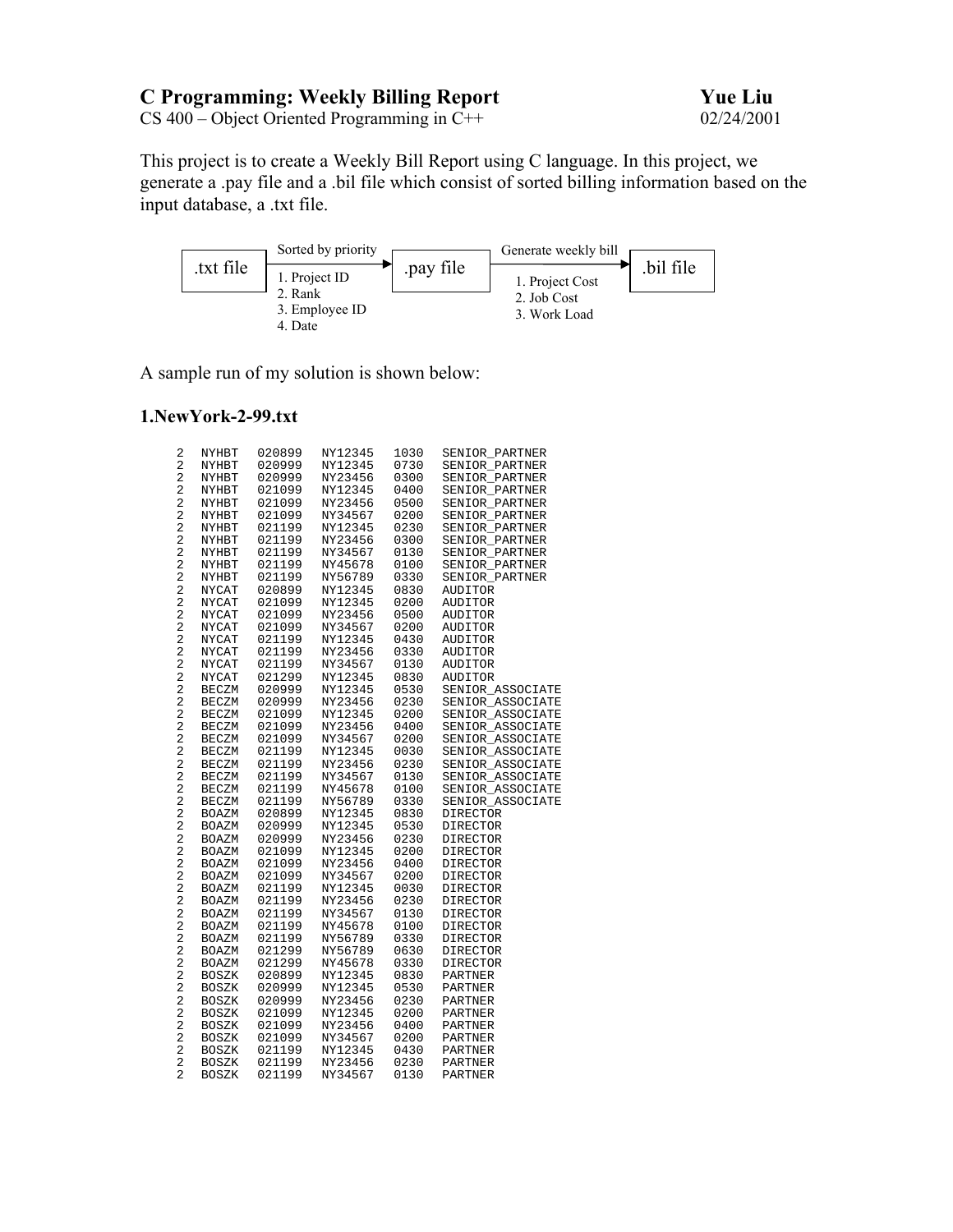# **C Programming: Weekly Billing Report Yue Liu**

CS 400 – Object Oriented Programming in C++ 02/24/2001

This project is to create a Weekly Bill Report using C language. In this project, we generate a .pay file and a .bil file which consist of sorted billing information based on the input database, a .txt file.



A sample run of my solution is shown below:

## **1.NewYork-2-99.txt**

| 2                                         | NYHBT | 020899 | NY12345 | 1030 | SENIOR_PARTNER   |
|-------------------------------------------|-------|--------|---------|------|------------------|
| $\sqrt{2}$                                | NYHBT | 020999 | NY12345 | 0730 | SENIOR PARTNER   |
| $\sqrt{2}$                                | NYHBT | 020999 | NY23456 | 0300 | SENIOR PARTNER   |
| $\sqrt{2}$                                | NYHBT | 021099 | NY12345 | 0400 | SENIOR PARTNER   |
| $\overline{\mathbf{c}}$                   | NYHBT | 021099 | NY23456 | 0500 | SENIOR PARTNER   |
| $\overline{\mathbf{c}}$                   | NYHBT | 021099 | NY34567 | 0200 | SENIOR PARTNER   |
| $\overline{c}$                            | NYHBT | 021199 | NY12345 | 0230 | SENIOR PARTNER   |
| $\overline{\mathbf{c}}$                   | NYHBT | 021199 | NY23456 | 0300 | SENIOR PARTNER   |
| $\overline{\mathbf{c}}$                   | NYHBT | 021199 | NY34567 | 0130 | SENIOR_PARTNER   |
| $\overline{\mathbf{c}}$                   | NYHBT | 021199 | NY45678 | 0100 | SENIOR_PARTNER   |
| $\overline{c}$                            | NYHBT | 021199 | NY56789 | 0330 | SENIOR PARTNER   |
| $\overline{\mathbf{c}}$                   | NYCAT | 020899 | NY12345 | 0830 | AUDITOR          |
| $\overline{\mathbf{c}}$                   | NYCAT | 021099 | NY12345 | 0200 | AUDITOR          |
| $\overline{\mathbf{c}}$                   | NYCAT | 021099 | NY23456 | 0500 | AUDITOR          |
| $\overline{\mathbf{c}}$                   | NYCAT | 021099 | NY34567 | 0200 | AUDITOR          |
| $\overline{a}$                            | NYCAT | 021199 | NY12345 | 0430 | AUDITOR          |
| $\overline{c}$                            | NYCAT | 021199 | NY23456 | 0330 | AUDITOR          |
| $\overline{\mathbf{c}}$                   | NYCAT | 021199 | NY34567 | 0130 | <b>AUDITOR</b>   |
| $\overline{\mathbf{c}}$                   | NYCAT | 021299 | NY12345 | 0830 | <b>AUDITOR</b>   |
| $\overline{a}$                            | BECZM | 020999 | NY12345 | 0530 | SENIOR ASSOCIATE |
| $\sqrt{2}$                                | BECZM | 020999 | NY23456 | 0230 | SENIOR ASSOCIATE |
| $\overline{\mathbf{c}}$                   | BECZM | 021099 | NY12345 | 0200 | SENIOR ASSOCIATE |
| $\sqrt{2}$                                | BECZM | 021099 | NY23456 | 0400 | SENIOR ASSOCIATE |
| $\overline{a}$                            | BECZM | 021099 | NY34567 | 0200 | SENIOR_ASSOCIATE |
| $\overline{a}$                            | BECZM | 021199 | NY12345 | 0030 | SENIOR ASSOCIATE |
| $\sqrt{2}$                                |       |        | NY23456 | 0230 |                  |
|                                           | BECZM | 021199 |         |      | SENIOR_ASSOCIATE |
| $\overline{\mathbf{c}}$                   | BECZM | 021199 | NY34567 | 0130 | SENIOR_ASSOCIATE |
| $\overline{\mathbf{c}}$<br>$\overline{c}$ | BECZM | 021199 | NY45678 | 0100 | SENIOR_ASSOCIATE |
| $\overline{a}$                            | BECZM | 021199 | NY56789 | 0330 | SENIOR ASSOCIATE |
|                                           | BOAZM | 020899 | NY12345 | 0830 | DIRECTOR         |
| $\overline{\mathbf{c}}$                   | BOAZM | 020999 | NY12345 | 0530 | DIRECTOR         |
| $\overline{\mathbf{c}}$                   | BOAZM | 020999 | NY23456 | 0230 | <b>DIRECTOR</b>  |
| $\overline{\mathbf{c}}$                   | BOAZM | 021099 | NY12345 | 0200 | DIRECTOR         |
| $\overline{a}$                            | BOAZM | 021099 | NY23456 | 0400 | DIRECTOR         |
| $\overline{c}$                            | BOAZM | 021099 | NY34567 | 0200 | <b>DIRECTOR</b>  |
| $\overline{\mathbf{c}}$                   | BOAZM | 021199 | NY12345 | 0030 | DIRECTOR         |
| $\overline{\mathbf{c}}$                   | BOAZM | 021199 | NY23456 | 0230 | <b>DIRECTOR</b>  |
| $\overline{c}$                            | BOAZM | 021199 | NY34567 | 0130 | <b>DIRECTOR</b>  |
| $\sqrt{2}$                                | BOAZM | 021199 | NY45678 | 0100 | <b>DIRECTOR</b>  |
| $\sqrt{2}$                                | BOAZM | 021199 | NY56789 | 0330 | DIRECTOR         |
| $\overline{\mathbf{c}}$                   | BOAZM | 021299 | NY56789 | 0630 | <b>DIRECTOR</b>  |
| $\sqrt{2}$                                | BOAZM | 021299 | NY45678 | 0330 | <b>DIRECTOR</b>  |
| $\overline{a}$                            | BOSZK | 020899 | NY12345 | 0830 | PARTNER          |
| $\overline{c}$                            | BOSZK | 020999 | NY12345 | 0530 | PARTNER          |
| $\overline{\mathbf{c}}$                   | BOSZK | 020999 | NY23456 | 0230 | PARTNER          |
| $\overline{\mathbf{c}}$                   | BOSZK | 021099 | NY12345 | 0200 | PARTNER          |
| $\overline{\mathbf{c}}$                   | BOSZK | 021099 | NY23456 | 0400 | PARTNER          |
| $\overline{a}$                            | BOSZK | 021099 | NY34567 | 0200 | PARTNER          |
| $\overline{\mathbf{c}}$                   | BOSZK | 021199 | NY12345 | 0430 | PARTNER          |
| $\overline{c}$                            | BOSZK | 021199 | NY23456 | 0230 | PARTNER          |
| $\overline{2}$                            | BOSZK | 021199 | NY34567 | 0130 | PARTNER          |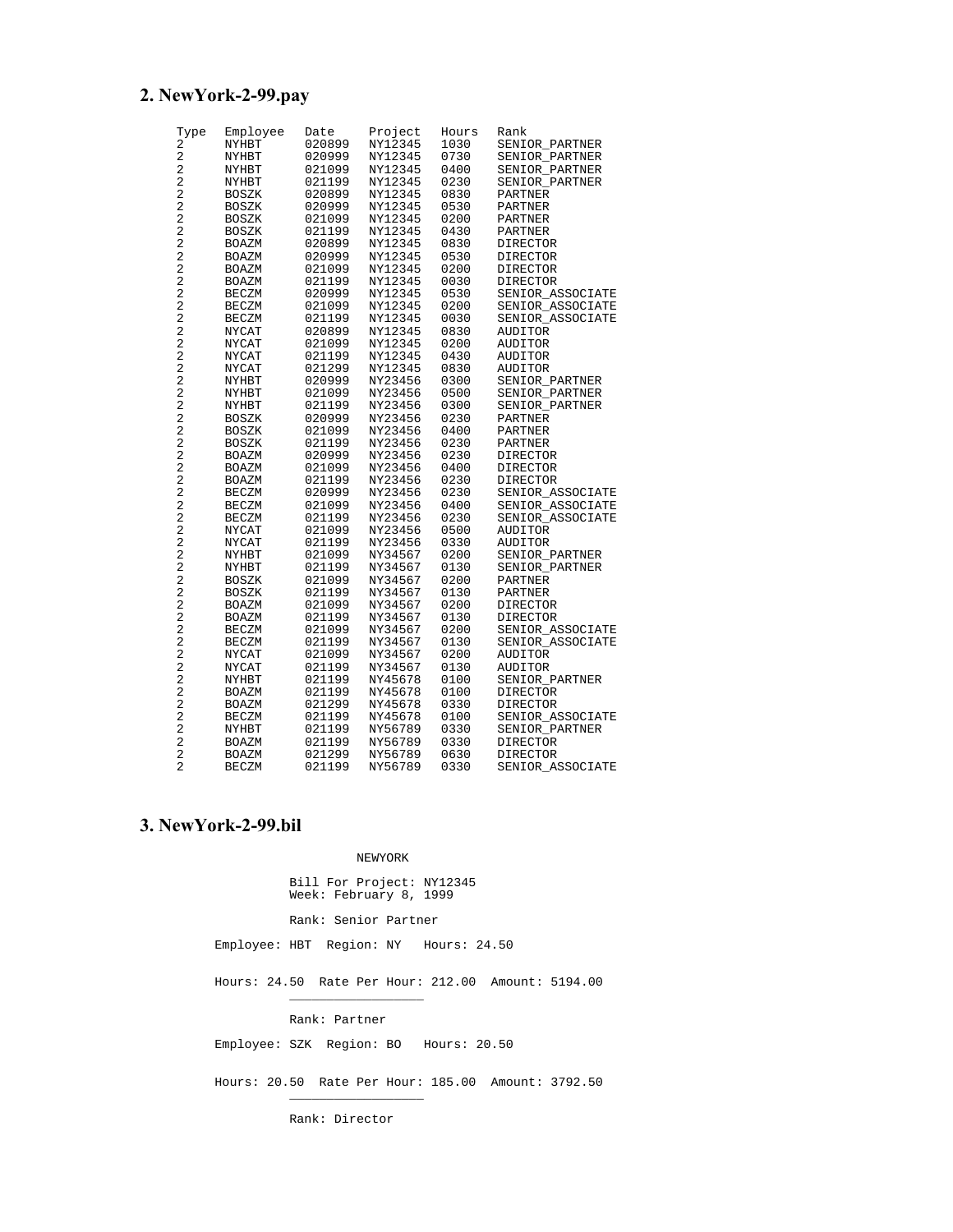# **2. NewYork-2-99.pay**

| Туре                                      | Employee     | Date             | Project            | Hours        | Rank                        |
|-------------------------------------------|--------------|------------------|--------------------|--------------|-----------------------------|
| 2                                         | <b>NYHBT</b> | 020899           | NY12345            | 1030         | SENIOR_PARTNER              |
| $\overline{2}$                            | NYHBT        | 020999           | NY12345            | 0730         | SENIOR PARTNER              |
| 2                                         | NYHBT        | 021099           | NY12345            | 0400         | SENIOR_PARTNER              |
| 2                                         | NYHBT        | 021199           | NY12345            | 0230         | SENIOR PARTNER              |
| $\overline{c}$                            | BOSZK        | 020899           | NY12345            | 0830         | PARTNER                     |
| 2                                         | BOSZK        | 020999           | NY12345            | 0530         | PARTNER                     |
| $\overline{\mathbf{c}}$                   | <b>BOSZK</b> | 021099           | NY12345            | 0200         | PARTNER                     |
| 2                                         | <b>BOSZK</b> | 021199           | NY12345            | 0430         | <b>PARTNER</b>              |
| 2                                         | BOAZM        | 020899           | NY12345            | 0830         | DIRECTOR                    |
| $\overline{c}$                            | BOAZM        | 020999           | NY12345            | 0530         | DIRECTOR                    |
| 2                                         | BOAZM        | 021099           | NY12345            | 0200         | <b>DIRECTOR</b>             |
| 2                                         | BOAZM        | 021199           | NY12345            | 0030         | DIRECTOR                    |
| 2                                         | <b>BECZM</b> | 020999           | NY12345            | 0530         | SENIOR ASSOCIATE            |
| 2                                         | <b>BECZM</b> | 021099           | NY12345            | 0200         | SENIOR ASSOCIATE            |
| 2                                         | BECZM        | 021199           | NY12345            | 0030         | SENIOR_ASSOCIATE            |
| 2                                         | NYCAT        | 020899           | NY12345            | 0830         | AUDITOR                     |
| 2                                         | NYCAT        | 021099           | NY12345            | 0200         | <b>AUDITOR</b>              |
| $\overline{c}$                            | NYCAT        | 021199           | NY12345            | 0430         | AUDITOR                     |
| $\overline{c}$                            | NYCAT        | 021299           | NY12345            | 0830         | AUDITOR                     |
| 2                                         | NYHBT        | 020999           | NY23456            | 0300         | SENIOR PARTNER              |
| 2                                         | NYHBT        | 021099           | NY23456            | 0500         | SENIOR PARTNER              |
| 2                                         | NYHBT        | 021199           | NY23456            | 0300         | SENIOR PARTNER              |
| 2                                         | BOSZK        | 020999           | NY23456            | 0230         | PARTNER                     |
| 2                                         | <b>BOSZK</b> | 021099           | NY23456            | 0400         | PARTNER                     |
| 2                                         | BOSZK        | 021199           | NY23456            | 0230         | PARTNER                     |
| 2                                         | BOAZM        | 020999           | NY23456            | 0230         | DIRECTOR                    |
| 2                                         | BOAZM        | 021099           | NY23456            | 0400         | DIRECTOR                    |
| $\sqrt{2}$                                | BOAZM        | 021199           | NY23456            | 0230         | DIRECTOR                    |
| 2                                         | <b>BECZM</b> | 020999           | NY23456            | 0230         | SENIOR ASSOCIATE            |
| 2                                         | <b>BECZM</b> | 021099           | NY23456            | 0400         | SENIOR ASSOCIATE            |
| $\overline{c}$                            | <b>BECZM</b> | 021199           | NY23456            | 0230         | SENIOR ASSOCIATE            |
| $\overline{\mathbf{c}}$                   | NYCAT        | 021099           | NY23456            | 0500         | <b>AUDITOR</b>              |
| 2                                         | NYCAT        | 021199           | NY23456            | 0330         | AUDITOR                     |
| $\overline{c}$                            | NYHBT        | 021099           | NY34567            | 0200         | SENIOR PARTNER              |
| $\overline{c}$                            | NYHBT        | 021199           | NY34567            | 0130         | SENIOR_PARTNER              |
| 2                                         | BOSZK        | 021099           | NY34567            | 0200         | PARTNER                     |
| $\overline{c}$                            | <b>BOSZK</b> | 021199           | NY34567            | 0130         | PARTNER                     |
| 2                                         | BOAZM        | 021099           | NY34567            | 0200         | DIRECTOR                    |
| $\overline{\mathbf{c}}$                   | BOAZM        | 021199           | NY34567            | 0130         | DIRECTOR                    |
| 2                                         | <b>BECZM</b> | 021099           | NY34567            | 0200         | SENIOR_ASSOCIATE            |
| 2                                         |              |                  |                    | 0130         |                             |
| 2                                         | <b>BECZM</b> | 021199           | NY34567            | 0200         | SENIOR_ASSOCIATE<br>AUDITOR |
| 2                                         | NYCAT        | 021099           | NY34567            |              |                             |
| $\overline{c}$                            | NYCAT        | 021199<br>021199 | NY34567<br>NY45678 | 0130<br>0100 | AUDITOR                     |
| 2                                         | NYHBT        |                  |                    |              | SENIOR_PARTNER              |
|                                           | BOAZM        | 021199           | NY45678            | 0100         | DIRECTOR                    |
| 2<br>2                                    | BOAZM        | 021299           | NY45678            | 0330         | <b>DIRECTOR</b>             |
|                                           | <b>BECZM</b> | 021199           | NY45678            | 0100         | SENIOR ASSOCIATE            |
| 2                                         | NYHBT        | 021199           | NY56789            | 0330         | SENIOR_PARTNER              |
| $\overline{\mathbf{c}}$<br>$\overline{2}$ | <b>BOAZM</b> | 021199           | NY56789            | 0330         | <b>DIRECTOR</b>             |
| $\overline{2}$                            | BOAZM        | 021299           | NY56789            | 0630         | <b>DIRECTOR</b>             |
|                                           | <b>BECZM</b> | 021199           | NY56789            | 0330         | SENIOR_ASSOCIATE            |

## **3. NewYork-2-99.bil**

#### NEWYORK

Bill For Project: NY12345 Week: February 8, 1999

Rank: Senior Partner

Employee: HBT Region: NY Hours: 24.50

Hours: 24.50 Rate Per Hour: 212.00 Amount: 5194.00

Rank: Partner

 $\frac{1}{\sqrt{2}}$  ,  $\frac{1}{\sqrt{2}}$  ,  $\frac{1}{\sqrt{2}}$  ,  $\frac{1}{\sqrt{2}}$  ,  $\frac{1}{\sqrt{2}}$  ,  $\frac{1}{\sqrt{2}}$  ,  $\frac{1}{\sqrt{2}}$  ,  $\frac{1}{\sqrt{2}}$  ,  $\frac{1}{\sqrt{2}}$  ,  $\frac{1}{\sqrt{2}}$  ,  $\frac{1}{\sqrt{2}}$  ,  $\frac{1}{\sqrt{2}}$  ,  $\frac{1}{\sqrt{2}}$  ,  $\frac{1}{\sqrt{2}}$  ,  $\frac{1}{\sqrt{2}}$ 

 $\frac{1}{2}$  , and the set of the set of the set of the set of the set of the set of the set of the set of the set of the set of the set of the set of the set of the set of the set of the set of the set of the set of the set

Employee: SZK Region: BO Hours: 20.50

Hours: 20.50 Rate Per Hour: 185.00 Amount: 3792.50

Rank: Director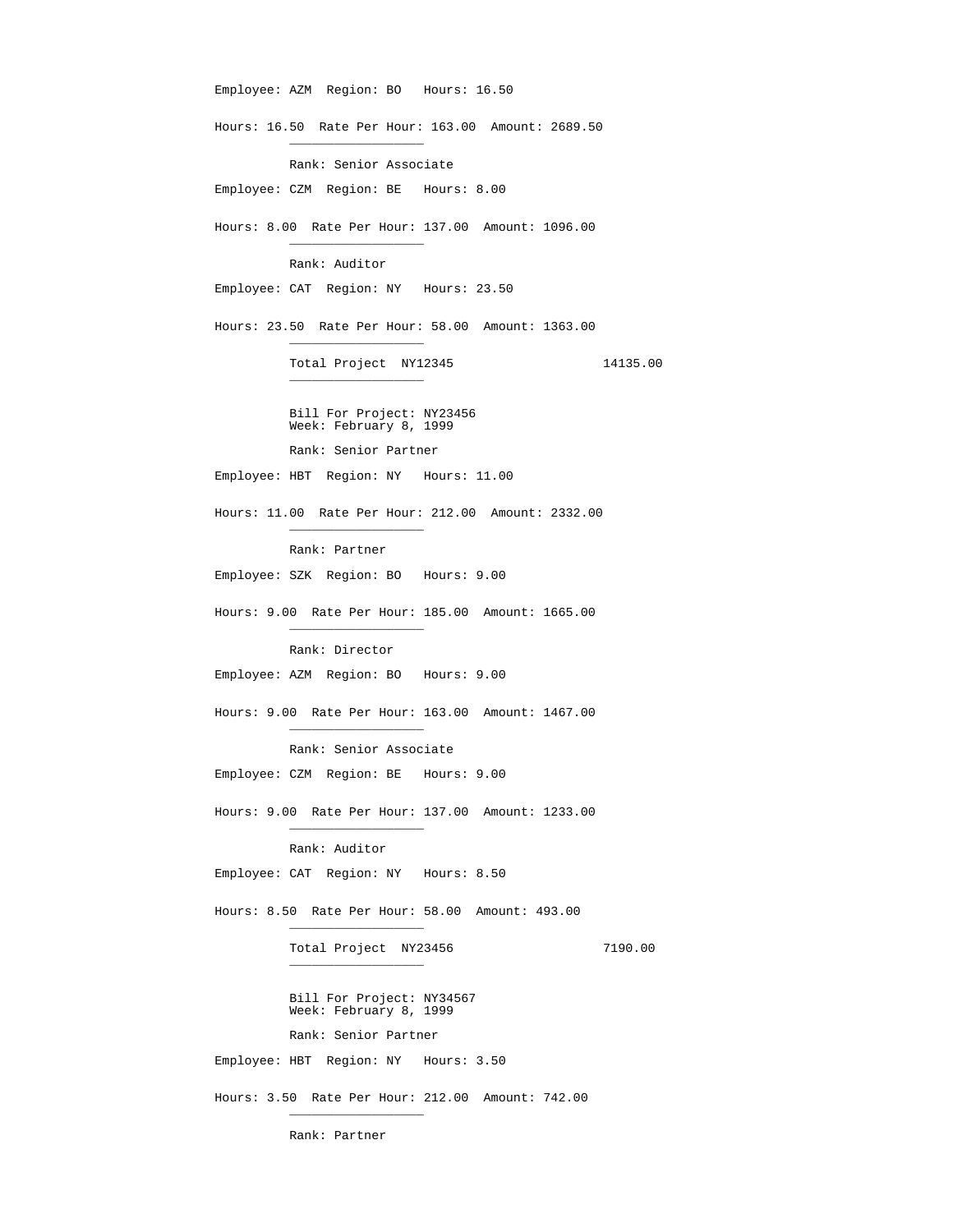Employee: AZM Region: BO Hours: 16.50 Hours: 16.50 Rate Per Hour: 163.00 Amount: 2689.50  $\frac{1}{2}$  , and the set of the set of the set of the set of the set of the set of the set of the set of the set of the set of the set of the set of the set of the set of the set of the set of the set of the set of the set Rank: Senior Associate Employee: CZM Region: BE Hours: 8.00 Hours: 8.00 Rate Per Hour: 137.00 Amount: 1096.00  $\frac{1}{\sqrt{2}}$  ,  $\frac{1}{\sqrt{2}}$  ,  $\frac{1}{\sqrt{2}}$  ,  $\frac{1}{\sqrt{2}}$  ,  $\frac{1}{\sqrt{2}}$  ,  $\frac{1}{\sqrt{2}}$  ,  $\frac{1}{\sqrt{2}}$  ,  $\frac{1}{\sqrt{2}}$  ,  $\frac{1}{\sqrt{2}}$  ,  $\frac{1}{\sqrt{2}}$  ,  $\frac{1}{\sqrt{2}}$  ,  $\frac{1}{\sqrt{2}}$  ,  $\frac{1}{\sqrt{2}}$  ,  $\frac{1}{\sqrt{2}}$  ,  $\frac{1}{\sqrt{2}}$  Rank: Auditor Employee: CAT Region: NY Hours: 23.50 Hours: 23.50 Rate Per Hour: 58.00 Amount: 1363.00  $\frac{1}{2}$  , and the set of the set of the set of the set of the set of the set of the set of the set of the set of the set of the set of the set of the set of the set of the set of the set of the set of the set of the set Total Project NY12345 14135.00  $\frac{1}{2}$  , and the set of the set of the set of the set of the set of the set of the set of the set of the set of the set of the set of the set of the set of the set of the set of the set of the set of the set of the set Bill For Project: NY23456 Week: February 8, 1999 Rank: Senior Partner Employee: HBT Region: NY Hours: 11.00 Hours: 11.00 Rate Per Hour: 212.00 Amount: 2332.00  $\frac{1}{2}$  , and the set of the set of the set of the set of the set of the set of the set of the set of the set of the set of the set of the set of the set of the set of the set of the set of the set of the set of the set Rank: Partner Employee: SZK Region: BO Hours: 9.00 Hours: 9.00 Rate Per Hour: 185.00 Amount: 1665.00  $\frac{1}{2}$  , and the set of the set of the set of the set of the set of the set of the set of the set of the set of the set of the set of the set of the set of the set of the set of the set of the set of the set of the set Rank: Director Employee: AZM Region: BO Hours: 9.00 Hours: 9.00 Rate Per Hour: 163.00 Amount: 1467.00  $\frac{1}{\sqrt{2}}$  ,  $\frac{1}{\sqrt{2}}$  ,  $\frac{1}{\sqrt{2}}$  ,  $\frac{1}{\sqrt{2}}$  ,  $\frac{1}{\sqrt{2}}$  ,  $\frac{1}{\sqrt{2}}$  ,  $\frac{1}{\sqrt{2}}$  ,  $\frac{1}{\sqrt{2}}$  ,  $\frac{1}{\sqrt{2}}$  ,  $\frac{1}{\sqrt{2}}$  ,  $\frac{1}{\sqrt{2}}$  ,  $\frac{1}{\sqrt{2}}$  ,  $\frac{1}{\sqrt{2}}$  ,  $\frac{1}{\sqrt{2}}$  ,  $\frac{1}{\sqrt{2}}$  Rank: Senior Associate Employee: CZM Region: BE Hours: 9.00 Hours: 9.00 Rate Per Hour: 137.00 Amount: 1233.00  $\frac{1}{2}$  , and the set of the set of the set of the set of the set of the set of the set of the set of the set of the set of the set of the set of the set of the set of the set of the set of the set of the set of the set Rank: Auditor Employee: CAT Region: NY Hours: 8.50 Hours: 8.50 Rate Per Hour: 58.00 Amount: 493.00  $\frac{1}{2}$  , and the set of the set of the set of the set of the set of the set of the set of the set of the set of the set of the set of the set of the set of the set of the set of the set of the set of the set of the set Total Project NY23456 7190.00  $\frac{1}{2}$  , and the set of the set of the set of the set of the set of the set of the set of the set of the set of the set of the set of the set of the set of the set of the set of the set of the set of the set of the set Bill For Project: NY34567 Week: February 8, 1999 Rank: Senior Partner Employee: HBT Region: NY Hours: 3.50 Hours: 3.50 Rate Per Hour: 212.00 Amount: 742.00  $\frac{1}{2}$  , and the set of the set of the set of the set of the set of the set of the set of the set of the set of the set of the set of the set of the set of the set of the set of the set of the set of the set of the set

Rank: Partner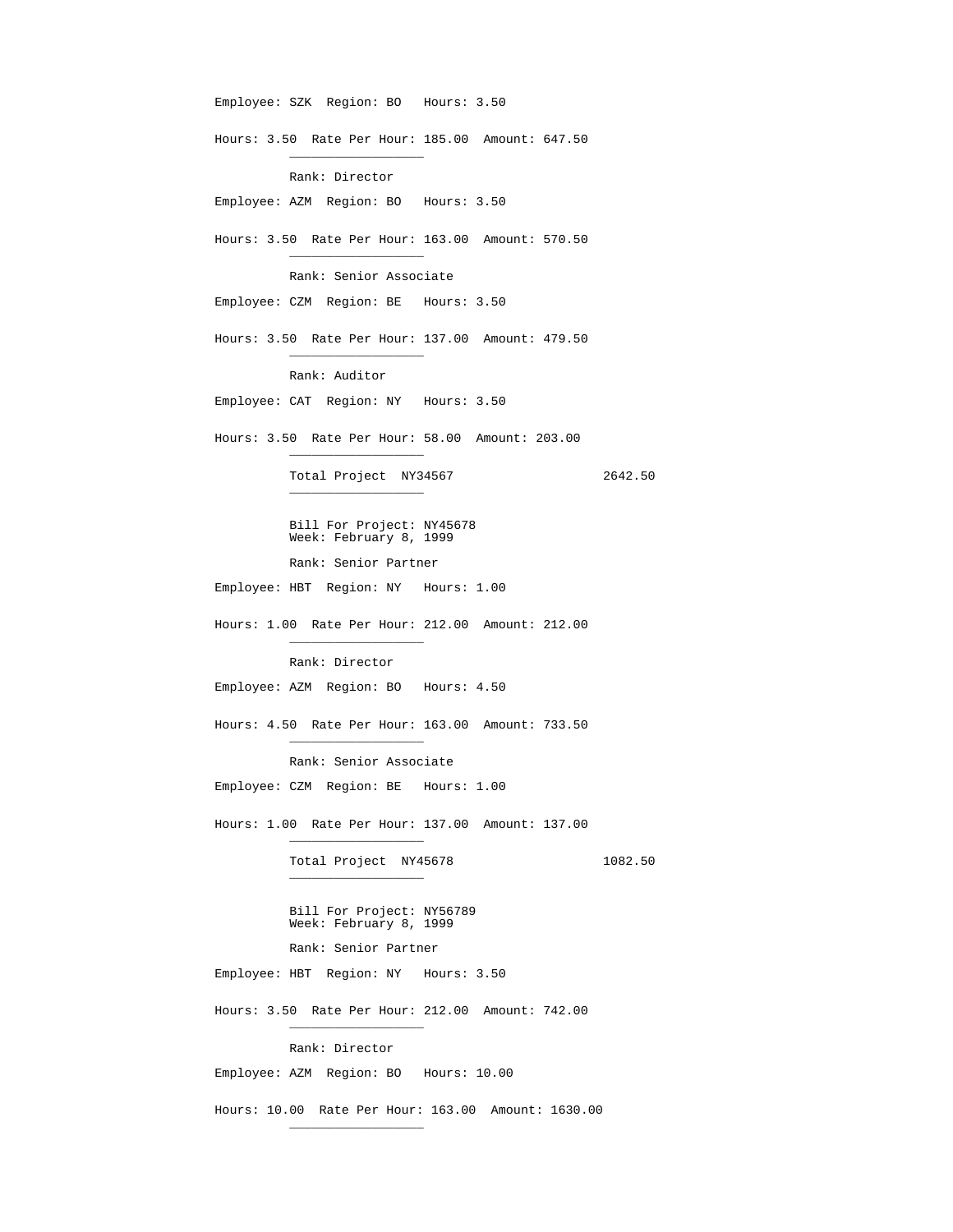Employee: SZK Region: BO Hours: 3.50 Hours: 3.50 Rate Per Hour: 185.00 Amount: 647.50  $\frac{1}{2}$  , and the set of the set of the set of the set of the set of the set of the set of the set of the set of the set of the set of the set of the set of the set of the set of the set of the set of the set of the set Rank: Director Employee: AZM Region: BO Hours: 3.50 Hours: 3.50 Rate Per Hour: 163.00 Amount: 570.50  $\frac{1}{2}$  , and the set of the set of the set of the set of the set of the set of the set of the set of the set of the set of the set of the set of the set of the set of the set of the set of the set of the set of the set Rank: Senior Associate Employee: CZM Region: BE Hours: 3.50 Hours: 3.50 Rate Per Hour: 137.00 Amount: 479.50  $\frac{1}{\sqrt{2}}$  ,  $\frac{1}{\sqrt{2}}$  ,  $\frac{1}{\sqrt{2}}$  ,  $\frac{1}{\sqrt{2}}$  ,  $\frac{1}{\sqrt{2}}$  ,  $\frac{1}{\sqrt{2}}$  ,  $\frac{1}{\sqrt{2}}$  ,  $\frac{1}{\sqrt{2}}$  ,  $\frac{1}{\sqrt{2}}$  ,  $\frac{1}{\sqrt{2}}$  ,  $\frac{1}{\sqrt{2}}$  ,  $\frac{1}{\sqrt{2}}$  ,  $\frac{1}{\sqrt{2}}$  ,  $\frac{1}{\sqrt{2}}$  ,  $\frac{1}{\sqrt{2}}$  Rank: Auditor Employee: CAT Region: NY Hours: 3.50 Hours: 3.50 Rate Per Hour: 58.00 Amount: 203.00  $\frac{1}{2}$  , and the set of the set of the set of the set of the set of the set of the set of the set of the set of the set of the set of the set of the set of the set of the set of the set of the set of the set of the set Total Project NY34567 2642.50  $\frac{1}{2}$  , and the set of the set of the set of the set of the set of the set of the set of the set of the set of the set of the set of the set of the set of the set of the set of the set of the set of the set of the set Bill For Project: NY45678 Week: February 8, 1999 Rank: Senior Partner Employee: HBT Region: NY Hours: 1.00 Hours: 1.00 Rate Per Hour: 212.00 Amount: 212.00  $\frac{1}{2}$  , and the set of the set of the set of the set of the set of the set of the set of the set of the set of the set of the set of the set of the set of the set of the set of the set of the set of the set of the set Rank: Director Employee: AZM Region: BO Hours: 4.50 Hours: 4.50 Rate Per Hour: 163.00 Amount: 733.50  $\frac{1}{2}$  , and the set of the set of the set of the set of the set of the set of the set of the set of the set of the set of the set of the set of the set of the set of the set of the set of the set of the set of the set Rank: Senior Associate Employee: CZM Region: BE Hours: 1.00 Hours: 1.00 Rate Per Hour: 137.00 Amount: 137.00  $\frac{1}{\sqrt{2}}$  ,  $\frac{1}{\sqrt{2}}$  ,  $\frac{1}{\sqrt{2}}$  ,  $\frac{1}{\sqrt{2}}$  ,  $\frac{1}{\sqrt{2}}$  ,  $\frac{1}{\sqrt{2}}$  ,  $\frac{1}{\sqrt{2}}$  ,  $\frac{1}{\sqrt{2}}$  ,  $\frac{1}{\sqrt{2}}$  ,  $\frac{1}{\sqrt{2}}$  ,  $\frac{1}{\sqrt{2}}$  ,  $\frac{1}{\sqrt{2}}$  ,  $\frac{1}{\sqrt{2}}$  ,  $\frac{1}{\sqrt{2}}$  ,  $\frac{1}{\sqrt{2}}$ Total Project NY45678 1082.50  $\frac{1}{\sqrt{2}}$  ,  $\frac{1}{\sqrt{2}}$  ,  $\frac{1}{\sqrt{2}}$  ,  $\frac{1}{\sqrt{2}}$  ,  $\frac{1}{\sqrt{2}}$  ,  $\frac{1}{\sqrt{2}}$  ,  $\frac{1}{\sqrt{2}}$  ,  $\frac{1}{\sqrt{2}}$  ,  $\frac{1}{\sqrt{2}}$  ,  $\frac{1}{\sqrt{2}}$  ,  $\frac{1}{\sqrt{2}}$  ,  $\frac{1}{\sqrt{2}}$  ,  $\frac{1}{\sqrt{2}}$  ,  $\frac{1}{\sqrt{2}}$  ,  $\frac{1}{\sqrt{2}}$  Bill For Project: NY56789 Week: February 8, 1999 Rank: Senior Partner Employee: HBT Region: NY Hours: 3.50 Hours: 3.50 Rate Per Hour: 212.00 Amount: 742.00  $\frac{1}{\sqrt{2}}$  ,  $\frac{1}{\sqrt{2}}$  ,  $\frac{1}{\sqrt{2}}$  ,  $\frac{1}{\sqrt{2}}$  ,  $\frac{1}{\sqrt{2}}$  ,  $\frac{1}{\sqrt{2}}$  ,  $\frac{1}{\sqrt{2}}$  ,  $\frac{1}{\sqrt{2}}$  ,  $\frac{1}{\sqrt{2}}$  ,  $\frac{1}{\sqrt{2}}$  ,  $\frac{1}{\sqrt{2}}$  ,  $\frac{1}{\sqrt{2}}$  ,  $\frac{1}{\sqrt{2}}$  ,  $\frac{1}{\sqrt{2}}$  ,  $\frac{1}{\sqrt{2}}$  Rank: Director Employee: AZM Region: BO Hours: 10.00 Hours: 10.00 Rate Per Hour: 163.00 Amount: 1630.00

 $\frac{1}{2}$  , and the set of the set of the set of the set of the set of the set of the set of the set of the set of the set of the set of the set of the set of the set of the set of the set of the set of the set of the set